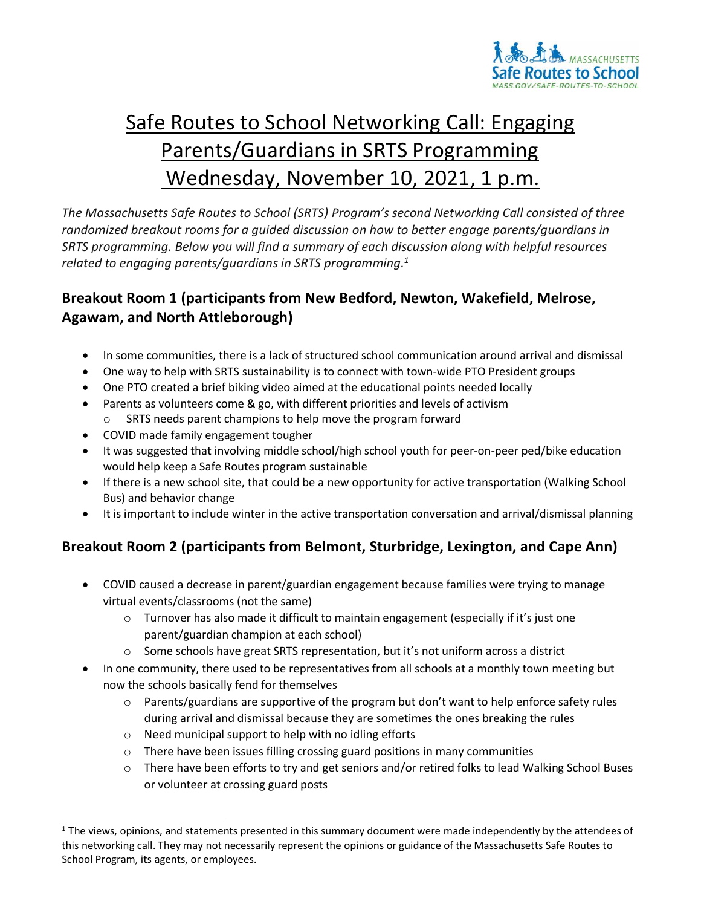

## Safe Routes to School Networking Call: Engaging Parents/Guardians in SRTS Programming Wednesday, November 10, 2021, 1 p.m.

*The Massachusetts Safe Routes to School (SRTS) Program's second Networking Call consisted of three randomized breakout rooms for a guided discussion on how to better engage parents/guardians in SRTS programming. Below you will find a summary of each discussion along with helpful resources related to engaging parents/guardians in SRTS programming. 1*

## **Breakout Room 1 (participants from New Bedford, Newton, Wakefield, Melrose, Agawam, and North Attleborough)**

- In some communities, there is a lack of structured school communication around arrival and dismissal
- One way to help with SRTS sustainability is to connect with town-wide PTO President groups
- One PTO created a brief biking video aimed at the educational points needed locally
- Parents as volunteers come & go, with different priorities and levels of activism
	- SRTS needs parent champions to help move the program forward
- COVID made family engagement tougher
- It was suggested that involving middle school/high school youth for peer-on-peer ped/bike education would help keep a Safe Routes program sustainable
- If there is a new school site, that could be a new opportunity for active transportation (Walking School Bus) and behavior change
- It is important to include winter in the active transportation conversation and arrival/dismissal planning

## **Breakout Room 2 (participants from Belmont, Sturbridge, Lexington, and Cape Ann)**

- COVID caused a decrease in parent/guardian engagement because families were trying to manage virtual events/classrooms (not the same)
	- $\circ$  Turnover has also made it difficult to maintain engagement (especially if it's just one parent/guardian champion at each school)
	- $\circ$  Some schools have great SRTS representation, but it's not uniform across a district
- In one community, there used to be representatives from all schools at a monthly town meeting but now the schools basically fend for themselves
	- $\circ$  Parents/guardians are supportive of the program but don't want to help enforce safety rules during arrival and dismissal because they are sometimes the ones breaking the rules
	- o Need municipal support to help with no idling efforts
	- $\circ$  There have been issues filling crossing guard positions in many communities
	- o There have been efforts to try and get seniors and/or retired folks to lead Walking School Buses or volunteer at crossing guard posts

 $1$  The views, opinions, and statements presented in this summary document were made independently by the attendees of this networking call. They may not necessarily represent the opinions or guidance of the Massachusetts Safe Routes to School Program, its agents, or employees.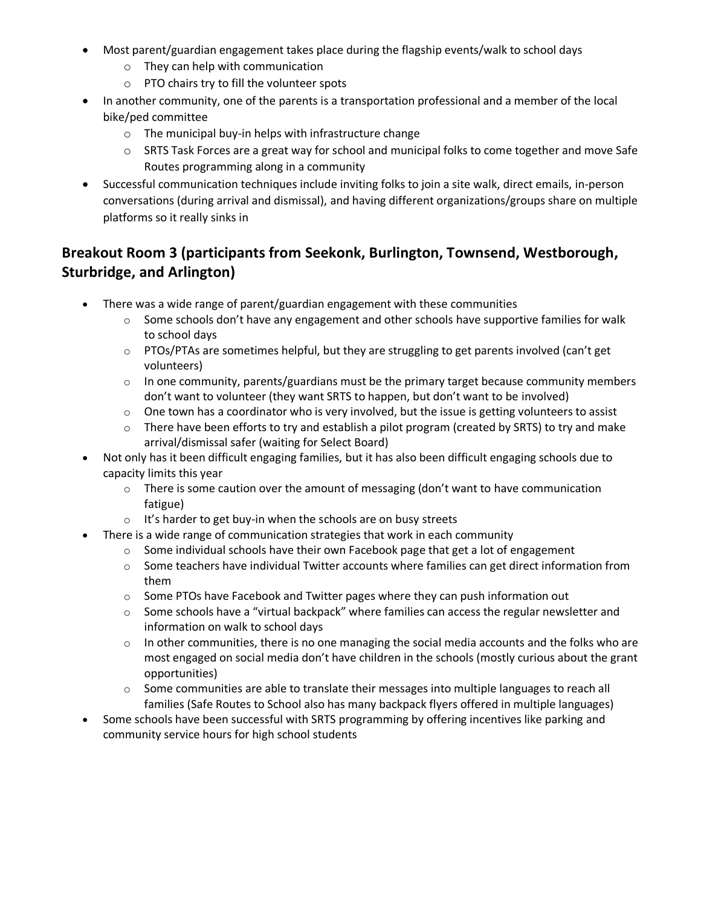- Most parent/guardian engagement takes place during the flagship events/walk to school days
	- o They can help with communication
	- o PTO chairs try to fill the volunteer spots
- In another community, one of the parents is a transportation professional and a member of the local bike/ped committee
	- o The municipal buy-in helps with infrastructure change
	- o SRTS Task Forces are a great way for school and municipal folks to come together and move Safe Routes programming along in a community
- Successful communication techniques include inviting folks to join a site walk, direct emails, in-person conversations (during arrival and dismissal), and having different organizations/groups share on multiple platforms so it really sinks in

## **Breakout Room 3 (participants from Seekonk, Burlington, Townsend, Westborough, Sturbridge, and Arlington)**

- There was a wide range of parent/guardian engagement with these communities
	- $\circ$  Some schools don't have any engagement and other schools have supportive families for walk to school days
	- $\circ$  PTOs/PTAs are sometimes helpful, but they are struggling to get parents involved (can't get volunteers)
	- $\circ$  In one community, parents/guardians must be the primary target because community members don't want to volunteer (they want SRTS to happen, but don't want to be involved)
	- $\circ$  One town has a coordinator who is very involved, but the issue is getting volunteers to assist
	- $\circ$  There have been efforts to try and establish a pilot program (created by SRTS) to try and make arrival/dismissal safer (waiting for Select Board)
- Not only has it been difficult engaging families, but it has also been difficult engaging schools due to capacity limits this year
	- $\circ$  There is some caution over the amount of messaging (don't want to have communication fatigue)
	- o It's harder to get buy-in when the schools are on busy streets
- There is a wide range of communication strategies that work in each community
	- $\circ$  Some individual schools have their own Facebook page that get a lot of engagement
	- $\circ$  Some teachers have individual Twitter accounts where families can get direct information from them
	- o Some PTOs have Facebook and Twitter pages where they can push information out
	- o Some schools have a "virtual backpack" where families can access the regular newsletter and information on walk to school days
	- $\circ$  In other communities, there is no one managing the social media accounts and the folks who are most engaged on social media don't have children in the schools (mostly curious about the grant opportunities)
	- $\circ$  Some communities are able to translate their messages into multiple languages to reach all families (Safe Routes to School also has many backpack flyers offered in multiple languages)
- Some schools have been successful with SRTS programming by offering incentives like parking and community service hours for high school students